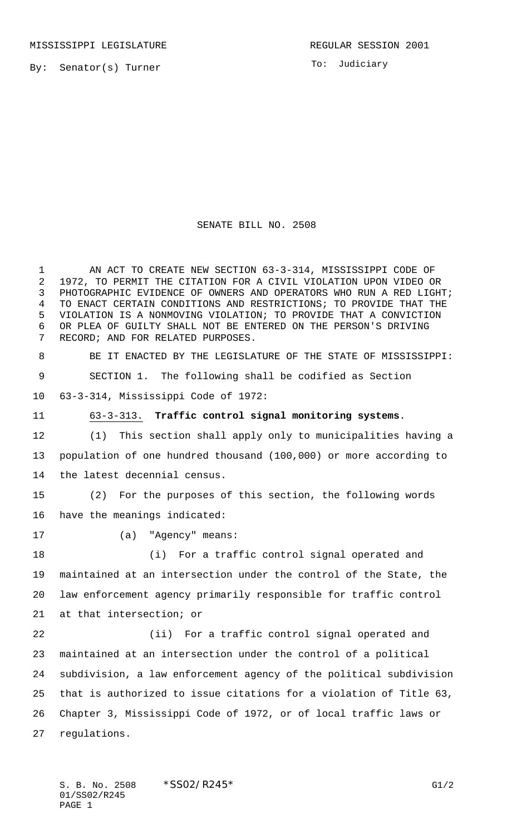To: Judiciary

## SENATE BILL NO. 2508

 AN ACT TO CREATE NEW SECTION 63-3-314, MISSISSIPPI CODE OF 1972, TO PERMIT THE CITATION FOR A CIVIL VIOLATION UPON VIDEO OR PHOTOGRAPHIC EVIDENCE OF OWNERS AND OPERATORS WHO RUN A RED LIGHT; TO ENACT CERTAIN CONDITIONS AND RESTRICTIONS; TO PROVIDE THAT THE VIOLATION IS A NONMOVING VIOLATION; TO PROVIDE THAT A CONVICTION OR PLEA OF GUILTY SHALL NOT BE ENTERED ON THE PERSON'S DRIVING RECORD; AND FOR RELATED PURPOSES. BE IT ENACTED BY THE LEGISLATURE OF THE STATE OF MISSISSIPPI: SECTION 1. The following shall be codified as Section 63-3-314, Mississippi Code of 1972: 63-3-313. **Traffic control signal monitoring systems**. (1) This section shall apply only to municipalities having a population of one hundred thousand (100,000) or more according to the latest decennial census. (2) For the purposes of this section, the following words have the meanings indicated: 17 (a) "Agency" means: (i) For a traffic control signal operated and maintained at an intersection under the control of the State, the law enforcement agency primarily responsible for traffic control at that intersection; or (ii) For a traffic control signal operated and maintained at an intersection under the control of a political subdivision, a law enforcement agency of the political subdivision that is authorized to issue citations for a violation of Title 63, Chapter 3, Mississippi Code of 1972, or of local traffic laws or regulations.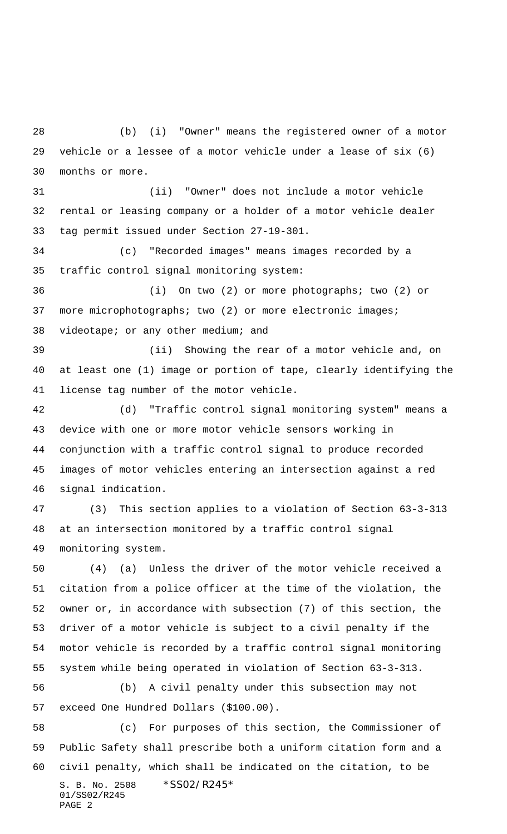(b) (i) "Owner" means the registered owner of a motor vehicle or a lessee of a motor vehicle under a lease of six (6) months or more.

 (ii) "Owner" does not include a motor vehicle rental or leasing company or a holder of a motor vehicle dealer tag permit issued under Section 27-19-301.

 (c) "Recorded images" means images recorded by a traffic control signal monitoring system:

 (i) On two (2) or more photographs; two (2) or more microphotographs; two (2) or more electronic images; videotape; or any other medium; and

 (ii) Showing the rear of a motor vehicle and, on at least one (1) image or portion of tape, clearly identifying the license tag number of the motor vehicle.

 (d) "Traffic control signal monitoring system" means a device with one or more motor vehicle sensors working in conjunction with a traffic control signal to produce recorded images of motor vehicles entering an intersection against a red signal indication.

 (3) This section applies to a violation of Section 63-3-313 at an intersection monitored by a traffic control signal monitoring system.

 (4) (a) Unless the driver of the motor vehicle received a citation from a police officer at the time of the violation, the owner or, in accordance with subsection (7) of this section, the driver of a motor vehicle is subject to a civil penalty if the motor vehicle is recorded by a traffic control signal monitoring system while being operated in violation of Section 63-3-313.

 (b) A civil penalty under this subsection may not exceed One Hundred Dollars (\$100.00).

S. B. No. 2508 \*SS02/R245\* 01/SS02/R245 PAGE 2 (c) For purposes of this section, the Commissioner of Public Safety shall prescribe both a uniform citation form and a civil penalty, which shall be indicated on the citation, to be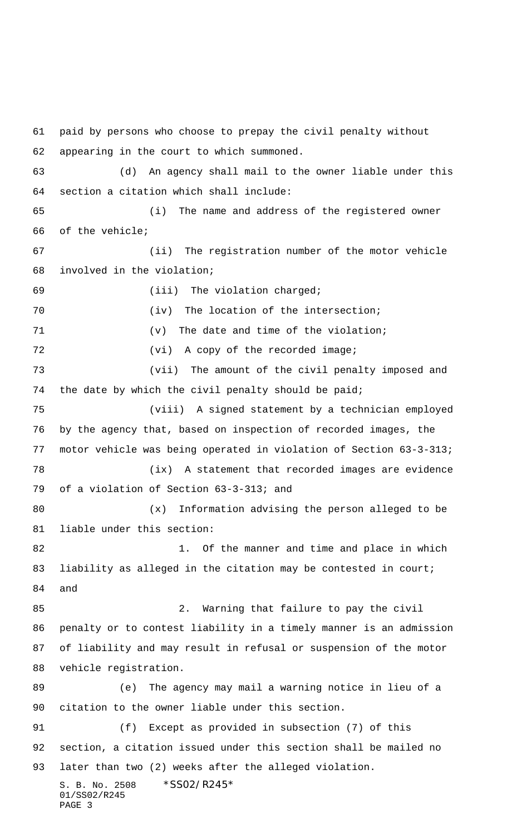S. B. No. 2508 \*SS02/R245\* 01/SS02/R245 PAGE 3 paid by persons who choose to prepay the civil penalty without appearing in the court to which summoned. (d) An agency shall mail to the owner liable under this section a citation which shall include: (i) The name and address of the registered owner of the vehicle; 67 (ii) The registration number of the motor vehicle involved in the violation; (iii) The violation charged; 70 (iv) The location of the intersection; (v) The date and time of the violation; 72 (vi) A copy of the recorded image; 73 (vii) The amount of the civil penalty imposed and the date by which the civil penalty should be paid; (viii) A signed statement by a technician employed by the agency that, based on inspection of recorded images, the motor vehicle was being operated in violation of Section 63-3-313; (ix) A statement that recorded images are evidence of a violation of Section 63-3-313; and 80 (x) Information advising the person alleged to be liable under this section: 82 1. Of the manner and time and place in which 83 liability as alleged in the citation may be contested in court; and 2. Warning that failure to pay the civil penalty or to contest liability in a timely manner is an admission of liability and may result in refusal or suspension of the motor vehicle registration. (e) The agency may mail a warning notice in lieu of a citation to the owner liable under this section. (f) Except as provided in subsection (7) of this section, a citation issued under this section shall be mailed no later than two (2) weeks after the alleged violation.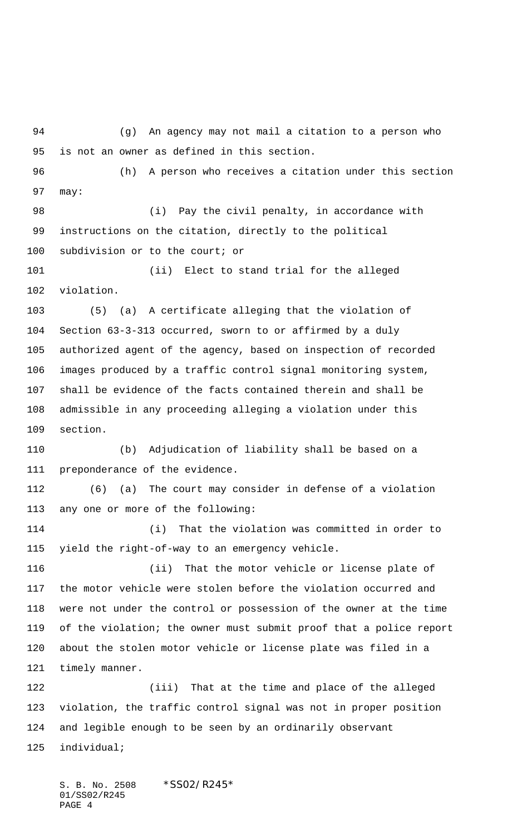(g) An agency may not mail a citation to a person who is not an owner as defined in this section.

 (h) A person who receives a citation under this section may:

98 (i) Pay the civil penalty, in accordance with instructions on the citation, directly to the political subdivision or to the court; or

 (ii) Elect to stand trial for the alleged violation.

 (5) (a) A certificate alleging that the violation of Section 63-3-313 occurred, sworn to or affirmed by a duly authorized agent of the agency, based on inspection of recorded images produced by a traffic control signal monitoring system, shall be evidence of the facts contained therein and shall be admissible in any proceeding alleging a violation under this section.

 (b) Adjudication of liability shall be based on a preponderance of the evidence.

 (6) (a) The court may consider in defense of a violation any one or more of the following:

 (i) That the violation was committed in order to yield the right-of-way to an emergency vehicle.

 (ii) That the motor vehicle or license plate of the motor vehicle were stolen before the violation occurred and were not under the control or possession of the owner at the time of the violation; the owner must submit proof that a police report about the stolen motor vehicle or license plate was filed in a timely manner.

 (iii) That at the time and place of the alleged violation, the traffic control signal was not in proper position and legible enough to be seen by an ordinarily observant individual;

S. B. No. 2508 \*SS02/R245\* 01/SS02/R245 PAGE 4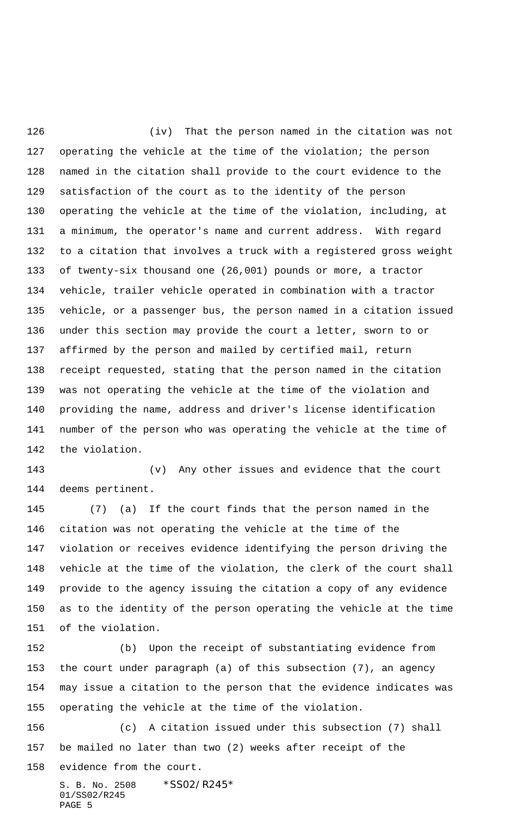(iv) That the person named in the citation was not operating the vehicle at the time of the violation; the person named in the citation shall provide to the court evidence to the satisfaction of the court as to the identity of the person operating the vehicle at the time of the violation, including, at a minimum, the operator's name and current address. With regard to a citation that involves a truck with a registered gross weight of twenty-six thousand one (26,001) pounds or more, a tractor vehicle, trailer vehicle operated in combination with a tractor vehicle, or a passenger bus, the person named in a citation issued under this section may provide the court a letter, sworn to or affirmed by the person and mailed by certified mail, return receipt requested, stating that the person named in the citation was not operating the vehicle at the time of the violation and providing the name, address and driver's license identification number of the person who was operating the vehicle at the time of the violation.

 (v) Any other issues and evidence that the court deems pertinent.

 (7) (a) If the court finds that the person named in the citation was not operating the vehicle at the time of the violation or receives evidence identifying the person driving the vehicle at the time of the violation, the clerk of the court shall provide to the agency issuing the citation a copy of any evidence as to the identity of the person operating the vehicle at the time of the violation.

 (b) Upon the receipt of substantiating evidence from the court under paragraph (a) of this subsection (7), an agency may issue a citation to the person that the evidence indicates was operating the vehicle at the time of the violation.

S. B. No. 2508 \*SS02/R245\* (c) A citation issued under this subsection (7) shall be mailed no later than two (2) weeks after receipt of the evidence from the court.

01/SS02/R245 PAGE 5